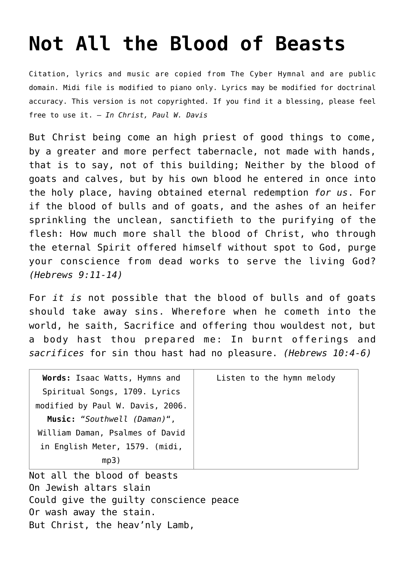## **[Not All the Blood of Beasts](http://reproachofmen.org/hymns-and-music/not-all-the-blood-of-beasts/)**

Citation, lyrics and music are copied from [The Cyber Hymnal](http://www.hymntime.com/tch/index.htm) and are public domain. Midi file is modified to piano only. Lyrics may be modified for doctrinal accuracy. This version is not copyrighted. If you find it a blessing, please feel free to use it. — *In Christ, Paul W. Davis*

But Christ being come an high priest of good things to come, by a greater and more perfect tabernacle, not made with hands, that is to say, not of this building; Neither by the blood of goats and calves, but by his own blood he entered in once into the holy place, having obtained eternal redemption *for us*. For if the blood of bulls and of goats, and the ashes of an heifer sprinkling the unclean, sanctifieth to the purifying of the flesh: How much more shall the blood of Christ, who through the eternal Spirit offered himself without spot to God, purge your conscience from dead works to serve the living God? *(Hebrews 9:11-14)*

For *it is* not possible that the blood of bulls and of goats should take away sins. Wherefore when he cometh into the world, he saith, Sacrifice and offering thou wouldest not, but a body hast thou prepared me: In burnt offerings and *sacrifices* for sin thou hast had no pleasure. *(Hebrews 10:4-6)*

| Words: Isaac Watts, Hymns and    | Listen to the hymn melody |
|----------------------------------|---------------------------|
| Spiritual Songs, 1709. Lyrics    |                           |
| modified by Paul W. Davis, 2006. |                           |
| Music: "Southwell (Daman)",      |                           |
| William Daman, Psalmes of David  |                           |
| in English Meter, 1579. (midi,   |                           |
| mp3)                             |                           |

Not all the blood of beasts On Jewish altars slain Could give the guilty conscience peace Or wash away the stain. But Christ, the heav'nly Lamb,